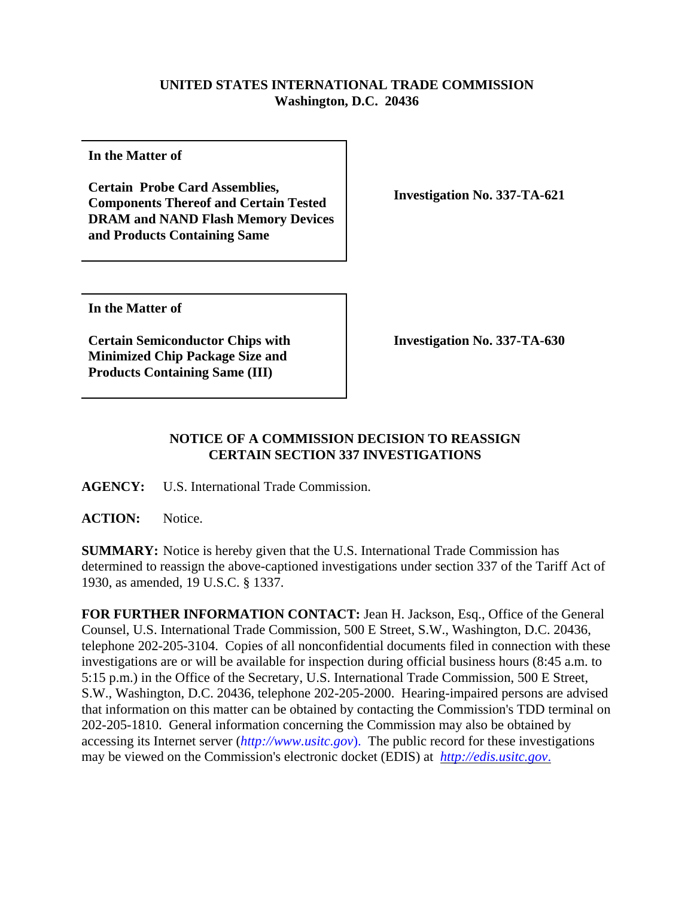## **UNITED STATES INTERNATIONAL TRADE COMMISSION Washington, D.C. 20436**

**In the Matter of** 

**Certain Probe Card Assemblies, Components Thereof and Certain Tested DRAM and NAND Flash Memory Devices and Products Containing Same**

**Investigation No. 337-TA-621**

**In the Matter of**

**Certain Semiconductor Chips with Minimized Chip Package Size and Products Containing Same (III)**

**Investigation No. 337-TA-630**

## **NOTICE OF A COMMISSION DECISION TO REASSIGN CERTAIN SECTION 337 INVESTIGATIONS**

**AGENCY:** U.S. International Trade Commission.

**ACTION:** Notice.

**SUMMARY:** Notice is hereby given that the U.S. International Trade Commission has determined to reassign the above-captioned investigations under section 337 of the Tariff Act of 1930, as amended, 19 U.S.C. § 1337.

**FOR FURTHER INFORMATION CONTACT:** Jean H. Jackson, Esq., Office of the General Counsel, U.S. International Trade Commission, 500 E Street, S.W., Washington, D.C. 20436, telephone 202-205-3104. Copies of all nonconfidential documents filed in connection with these investigations are or will be available for inspection during official business hours (8:45 a.m. to 5:15 p.m.) in the Office of the Secretary, U.S. International Trade Commission, 500 E Street, S.W., Washington, D.C. 20436, telephone 202-205-2000. Hearing-impaired persons are advised that information on this matter can be obtained by contacting the Commission's TDD terminal on 202-205-1810. General information concerning the Commission may also be obtained by accessing its Internet server (*http://www.usitc.gov*). The public record for these investigations may be viewed on the Commission's electronic docket (EDIS) at *http://edis.usitc.gov*.